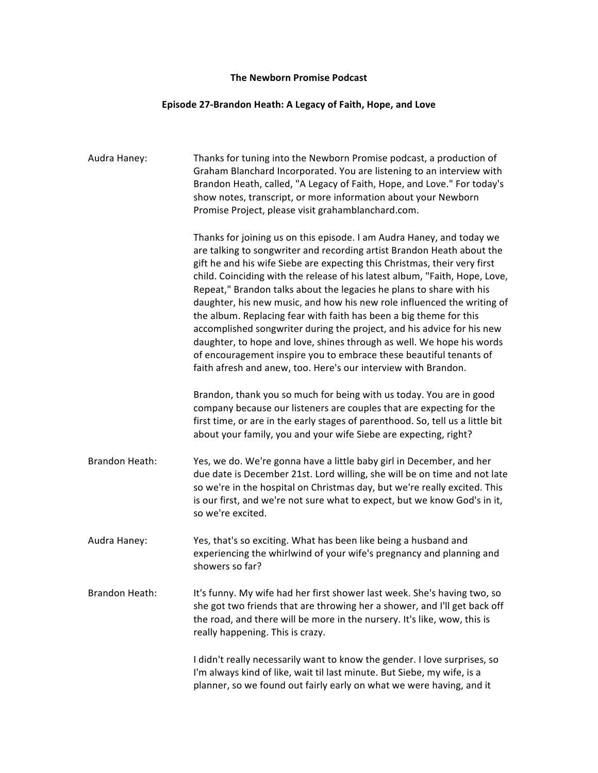## **The Newborn Promise Podcast**

## **Episode 27-Brandon Heath: A Legacy of Faith, Hope, and Love**

| Audra Haney:   | Thanks for tuning into the Newborn Promise podcast, a production of<br>Graham Blanchard Incorporated. You are listening to an interview with<br>Brandon Heath, called, "A Legacy of Faith, Hope, and Love." For today's<br>show notes, transcript, or more information about your Newborn<br>Promise Project, please visit grahamblanchard.com.                                                                                                                                                                                                                                                                                                                                                                                                                                                                                 |
|----------------|---------------------------------------------------------------------------------------------------------------------------------------------------------------------------------------------------------------------------------------------------------------------------------------------------------------------------------------------------------------------------------------------------------------------------------------------------------------------------------------------------------------------------------------------------------------------------------------------------------------------------------------------------------------------------------------------------------------------------------------------------------------------------------------------------------------------------------|
|                | Thanks for joining us on this episode. I am Audra Haney, and today we<br>are talking to songwriter and recording artist Brandon Heath about the<br>gift he and his wife Siebe are expecting this Christmas, their very first<br>child. Coinciding with the release of his latest album, "Faith, Hope, Love,<br>Repeat," Brandon talks about the legacies he plans to share with his<br>daughter, his new music, and how his new role influenced the writing of<br>the album. Replacing fear with faith has been a big theme for this<br>accomplished songwriter during the project, and his advice for his new<br>daughter, to hope and love, shines through as well. We hope his words<br>of encouragement inspire you to embrace these beautiful tenants of<br>faith afresh and anew, too. Here's our interview with Brandon. |
|                | Brandon, thank you so much for being with us today. You are in good<br>company because our listeners are couples that are expecting for the<br>first time, or are in the early stages of parenthood. So, tell us a little bit<br>about your family, you and your wife Siebe are expecting, right?                                                                                                                                                                                                                                                                                                                                                                                                                                                                                                                               |
| Brandon Heath: | Yes, we do. We're gonna have a little baby girl in December, and her<br>due date is December 21st. Lord willing, she will be on time and not late<br>so we're in the hospital on Christmas day, but we're really excited. This<br>is our first, and we're not sure what to expect, but we know God's in it,<br>so we're excited.                                                                                                                                                                                                                                                                                                                                                                                                                                                                                                |
| Audra Haney:   | Yes, that's so exciting. What has been like being a husband and<br>experiencing the whirlwind of your wife's pregnancy and planning and<br>showers so far?                                                                                                                                                                                                                                                                                                                                                                                                                                                                                                                                                                                                                                                                      |
| Brandon Heath: | It's funny. My wife had her first shower last week. She's having two, so<br>she got two friends that are throwing her a shower, and I'll get back off<br>the road, and there will be more in the nursery. It's like, wow, this is<br>really happening. This is crazy.                                                                                                                                                                                                                                                                                                                                                                                                                                                                                                                                                           |
|                | I didn't really necessarily want to know the gender. I love surprises, so<br>I'm always kind of like, wait til last minute. But Siebe, my wife, is a<br>planner, so we found out fairly early on what we were having, and it                                                                                                                                                                                                                                                                                                                                                                                                                                                                                                                                                                                                    |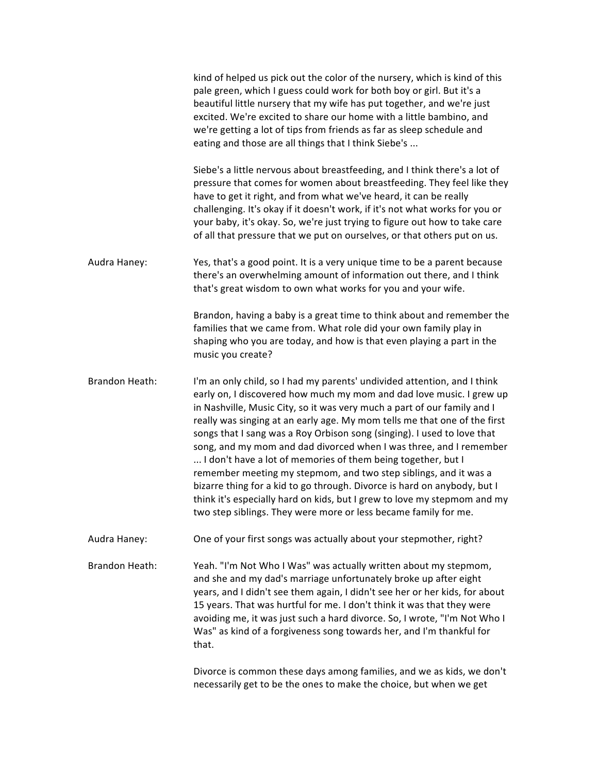|                       | kind of helped us pick out the color of the nursery, which is kind of this<br>pale green, which I guess could work for both boy or girl. But it's a<br>beautiful little nursery that my wife has put together, and we're just<br>excited. We're excited to share our home with a little bambino, and<br>we're getting a lot of tips from friends as far as sleep schedule and<br>eating and those are all things that I think Siebe's                                                                                                                                                                                                                                                                                                                                                                                     |
|-----------------------|---------------------------------------------------------------------------------------------------------------------------------------------------------------------------------------------------------------------------------------------------------------------------------------------------------------------------------------------------------------------------------------------------------------------------------------------------------------------------------------------------------------------------------------------------------------------------------------------------------------------------------------------------------------------------------------------------------------------------------------------------------------------------------------------------------------------------|
|                       | Siebe's a little nervous about breastfeeding, and I think there's a lot of<br>pressure that comes for women about breastfeeding. They feel like they<br>have to get it right, and from what we've heard, it can be really<br>challenging. It's okay if it doesn't work, if it's not what works for you or<br>your baby, it's okay. So, we're just trying to figure out how to take care<br>of all that pressure that we put on ourselves, or that others put on us.                                                                                                                                                                                                                                                                                                                                                       |
| Audra Haney:          | Yes, that's a good point. It is a very unique time to be a parent because<br>there's an overwhelming amount of information out there, and I think<br>that's great wisdom to own what works for you and your wife.                                                                                                                                                                                                                                                                                                                                                                                                                                                                                                                                                                                                         |
|                       | Brandon, having a baby is a great time to think about and remember the<br>families that we came from. What role did your own family play in<br>shaping who you are today, and how is that even playing a part in the<br>music you create?                                                                                                                                                                                                                                                                                                                                                                                                                                                                                                                                                                                 |
| <b>Brandon Heath:</b> | I'm an only child, so I had my parents' undivided attention, and I think<br>early on, I discovered how much my mom and dad love music. I grew up<br>in Nashville, Music City, so it was very much a part of our family and I<br>really was singing at an early age. My mom tells me that one of the first<br>songs that I sang was a Roy Orbison song (singing). I used to love that<br>song, and my mom and dad divorced when I was three, and I remember<br>I don't have a lot of memories of them being together, but I<br>remember meeting my stepmom, and two step siblings, and it was a<br>bizarre thing for a kid to go through. Divorce is hard on anybody, but I<br>think it's especially hard on kids, but I grew to love my stepmom and my<br>two step siblings. They were more or less became family for me. |
| Audra Haney:          | One of your first songs was actually about your stepmother, right?                                                                                                                                                                                                                                                                                                                                                                                                                                                                                                                                                                                                                                                                                                                                                        |
| Brandon Heath:        | Yeah. "I'm Not Who I Was" was actually written about my stepmom,<br>and she and my dad's marriage unfortunately broke up after eight<br>years, and I didn't see them again, I didn't see her or her kids, for about<br>15 years. That was hurtful for me. I don't think it was that they were<br>avoiding me, it was just such a hard divorce. So, I wrote, "I'm Not Who I<br>Was" as kind of a forgiveness song towards her, and I'm thankful for<br>that.                                                                                                                                                                                                                                                                                                                                                               |
|                       | Divorce is common these days among families, and we as kids, we don't<br>necessarily get to be the ones to make the choice, but when we get                                                                                                                                                                                                                                                                                                                                                                                                                                                                                                                                                                                                                                                                               |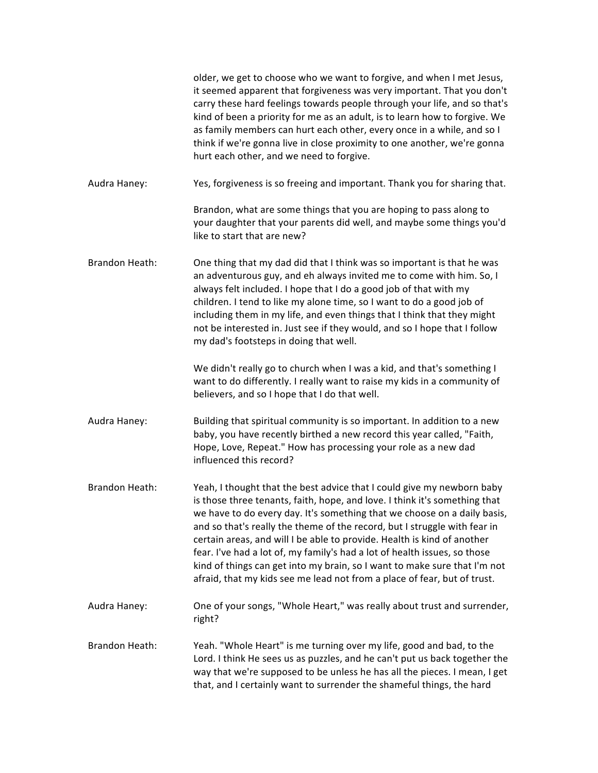|                       | older, we get to choose who we want to forgive, and when I met Jesus,<br>it seemed apparent that forgiveness was very important. That you don't<br>carry these hard feelings towards people through your life, and so that's<br>kind of been a priority for me as an adult, is to learn how to forgive. We<br>as family members can hurt each other, every once in a while, and so I<br>think if we're gonna live in close proximity to one another, we're gonna<br>hurt each other, and we need to forgive.                                                                                                                   |
|-----------------------|--------------------------------------------------------------------------------------------------------------------------------------------------------------------------------------------------------------------------------------------------------------------------------------------------------------------------------------------------------------------------------------------------------------------------------------------------------------------------------------------------------------------------------------------------------------------------------------------------------------------------------|
| Audra Haney:          | Yes, forgiveness is so freeing and important. Thank you for sharing that.                                                                                                                                                                                                                                                                                                                                                                                                                                                                                                                                                      |
|                       | Brandon, what are some things that you are hoping to pass along to<br>your daughter that your parents did well, and maybe some things you'd<br>like to start that are new?                                                                                                                                                                                                                                                                                                                                                                                                                                                     |
| <b>Brandon Heath:</b> | One thing that my dad did that I think was so important is that he was<br>an adventurous guy, and eh always invited me to come with him. So, I<br>always felt included. I hope that I do a good job of that with my<br>children. I tend to like my alone time, so I want to do a good job of<br>including them in my life, and even things that I think that they might<br>not be interested in. Just see if they would, and so I hope that I follow<br>my dad's footsteps in doing that well.                                                                                                                                 |
|                       | We didn't really go to church when I was a kid, and that's something I<br>want to do differently. I really want to raise my kids in a community of<br>believers, and so I hope that I do that well.                                                                                                                                                                                                                                                                                                                                                                                                                            |
| Audra Haney:          | Building that spiritual community is so important. In addition to a new<br>baby, you have recently birthed a new record this year called, "Faith,<br>Hope, Love, Repeat." How has processing your role as a new dad<br>influenced this record?                                                                                                                                                                                                                                                                                                                                                                                 |
| <b>Brandon Heath:</b> | Yeah, I thought that the best advice that I could give my newborn baby<br>is those three tenants, faith, hope, and love. I think it's something that<br>we have to do every day. It's something that we choose on a daily basis,<br>and so that's really the theme of the record, but I struggle with fear in<br>certain areas, and will I be able to provide. Health is kind of another<br>fear. I've had a lot of, my family's had a lot of health issues, so those<br>kind of things can get into my brain, so I want to make sure that I'm not<br>afraid, that my kids see me lead not from a place of fear, but of trust. |
| Audra Haney:          | One of your songs, "Whole Heart," was really about trust and surrender,<br>right?                                                                                                                                                                                                                                                                                                                                                                                                                                                                                                                                              |
| <b>Brandon Heath:</b> | Yeah. "Whole Heart" is me turning over my life, good and bad, to the<br>Lord. I think He sees us as puzzles, and he can't put us back together the<br>way that we're supposed to be unless he has all the pieces. I mean, I get<br>that, and I certainly want to surrender the shameful things, the hard                                                                                                                                                                                                                                                                                                                       |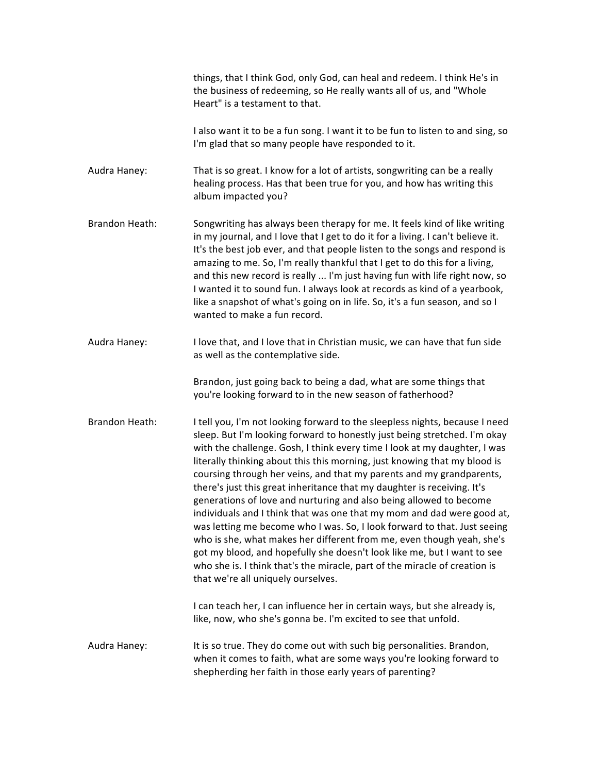|                       | things, that I think God, only God, can heal and redeem. I think He's in<br>the business of redeeming, so He really wants all of us, and "Whole<br>Heart" is a testament to that.                                                                                                                                                                                                                                                                                                                                                                                                                                                                                                                                                                                                                                                                                                                                                                                                                                                                                                                                        |
|-----------------------|--------------------------------------------------------------------------------------------------------------------------------------------------------------------------------------------------------------------------------------------------------------------------------------------------------------------------------------------------------------------------------------------------------------------------------------------------------------------------------------------------------------------------------------------------------------------------------------------------------------------------------------------------------------------------------------------------------------------------------------------------------------------------------------------------------------------------------------------------------------------------------------------------------------------------------------------------------------------------------------------------------------------------------------------------------------------------------------------------------------------------|
|                       | I also want it to be a fun song. I want it to be fun to listen to and sing, so<br>I'm glad that so many people have responded to it.                                                                                                                                                                                                                                                                                                                                                                                                                                                                                                                                                                                                                                                                                                                                                                                                                                                                                                                                                                                     |
| Audra Haney:          | That is so great. I know for a lot of artists, songwriting can be a really<br>healing process. Has that been true for you, and how has writing this<br>album impacted you?                                                                                                                                                                                                                                                                                                                                                                                                                                                                                                                                                                                                                                                                                                                                                                                                                                                                                                                                               |
| <b>Brandon Heath:</b> | Songwriting has always been therapy for me. It feels kind of like writing<br>in my journal, and I love that I get to do it for a living. I can't believe it.<br>It's the best job ever, and that people listen to the songs and respond is<br>amazing to me. So, I'm really thankful that I get to do this for a living,<br>and this new record is really  I'm just having fun with life right now, so<br>I wanted it to sound fun. I always look at records as kind of a yearbook,<br>like a snapshot of what's going on in life. So, it's a fun season, and so I<br>wanted to make a fun record.                                                                                                                                                                                                                                                                                                                                                                                                                                                                                                                       |
| Audra Haney:          | I love that, and I love that in Christian music, we can have that fun side<br>as well as the contemplative side.                                                                                                                                                                                                                                                                                                                                                                                                                                                                                                                                                                                                                                                                                                                                                                                                                                                                                                                                                                                                         |
|                       | Brandon, just going back to being a dad, what are some things that<br>you're looking forward to in the new season of fatherhood?                                                                                                                                                                                                                                                                                                                                                                                                                                                                                                                                                                                                                                                                                                                                                                                                                                                                                                                                                                                         |
| <b>Brandon Heath:</b> | I tell you, I'm not looking forward to the sleepless nights, because I need<br>sleep. But I'm looking forward to honestly just being stretched. I'm okay<br>with the challenge. Gosh, I think every time I look at my daughter, I was<br>literally thinking about this this morning, just knowing that my blood is<br>coursing through her veins, and that my parents and my grandparents,<br>there's just this great inheritance that my daughter is receiving. It's<br>generations of love and nurturing and also being allowed to become<br>individuals and I think that was one that my mom and dad were good at,<br>was letting me become who I was. So, I look forward to that. Just seeing<br>who is she, what makes her different from me, even though yeah, she's<br>got my blood, and hopefully she doesn't look like me, but I want to see<br>who she is. I think that's the miracle, part of the miracle of creation is<br>that we're all uniquely ourselves.<br>I can teach her, I can influence her in certain ways, but she already is,<br>like, now, who she's gonna be. I'm excited to see that unfold. |
| Audra Haney:          | It is so true. They do come out with such big personalities. Brandon,                                                                                                                                                                                                                                                                                                                                                                                                                                                                                                                                                                                                                                                                                                                                                                                                                                                                                                                                                                                                                                                    |
|                       | when it comes to faith, what are some ways you're looking forward to<br>shepherding her faith in those early years of parenting?                                                                                                                                                                                                                                                                                                                                                                                                                                                                                                                                                                                                                                                                                                                                                                                                                                                                                                                                                                                         |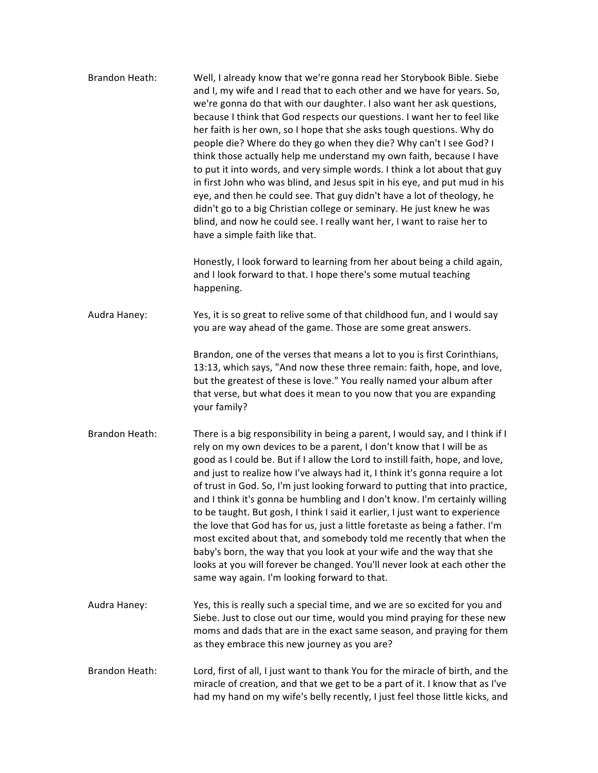| <b>Brandon Heath:</b> | Well, I already know that we're gonna read her Storybook Bible. Siebe<br>and I, my wife and I read that to each other and we have for years. So,<br>we're gonna do that with our daughter. I also want her ask questions,<br>because I think that God respects our questions. I want her to feel like<br>her faith is her own, so I hope that she asks tough questions. Why do<br>people die? Where do they go when they die? Why can't I see God? I<br>think those actually help me understand my own faith, because I have<br>to put it into words, and very simple words. I think a lot about that guy<br>in first John who was blind, and Jesus spit in his eye, and put mud in his<br>eye, and then he could see. That guy didn't have a lot of theology, he<br>didn't go to a big Christian college or seminary. He just knew he was<br>blind, and now he could see. I really want her, I want to raise her to<br>have a simple faith like that. |
|-----------------------|--------------------------------------------------------------------------------------------------------------------------------------------------------------------------------------------------------------------------------------------------------------------------------------------------------------------------------------------------------------------------------------------------------------------------------------------------------------------------------------------------------------------------------------------------------------------------------------------------------------------------------------------------------------------------------------------------------------------------------------------------------------------------------------------------------------------------------------------------------------------------------------------------------------------------------------------------------|
|                       | Honestly, I look forward to learning from her about being a child again,<br>and I look forward to that. I hope there's some mutual teaching<br>happening.                                                                                                                                                                                                                                                                                                                                                                                                                                                                                                                                                                                                                                                                                                                                                                                              |
| Audra Haney:          | Yes, it is so great to relive some of that childhood fun, and I would say<br>you are way ahead of the game. Those are some great answers.                                                                                                                                                                                                                                                                                                                                                                                                                                                                                                                                                                                                                                                                                                                                                                                                              |
|                       | Brandon, one of the verses that means a lot to you is first Corinthians,<br>13:13, which says, "And now these three remain: faith, hope, and love,<br>but the greatest of these is love." You really named your album after<br>that verse, but what does it mean to you now that you are expanding<br>your family?                                                                                                                                                                                                                                                                                                                                                                                                                                                                                                                                                                                                                                     |
| <b>Brandon Heath:</b> | There is a big responsibility in being a parent, I would say, and I think if I<br>rely on my own devices to be a parent, I don't know that I will be as<br>good as I could be. But if I allow the Lord to instill faith, hope, and love,<br>and just to realize how I've always had it, I think it's gonna require a lot<br>of trust in God. So, I'm just looking forward to putting that into practice,<br>and I think it's gonna be humbling and I don't know. I'm certainly willing<br>to be taught. But gosh, I think I said it earlier, I just want to experience<br>the love that God has for us, just a little foretaste as being a father. I'm<br>most excited about that, and somebody told me recently that when the<br>baby's born, the way that you look at your wife and the way that she<br>looks at you will forever be changed. You'll never look at each other the<br>same way again. I'm looking forward to that.                    |
| Audra Haney:          | Yes, this is really such a special time, and we are so excited for you and<br>Siebe. Just to close out our time, would you mind praying for these new<br>moms and dads that are in the exact same season, and praying for them<br>as they embrace this new journey as you are?                                                                                                                                                                                                                                                                                                                                                                                                                                                                                                                                                                                                                                                                         |
| <b>Brandon Heath:</b> | Lord, first of all, I just want to thank You for the miracle of birth, and the<br>miracle of creation, and that we get to be a part of it. I know that as I've<br>had my hand on my wife's belly recently, I just feel those little kicks, and                                                                                                                                                                                                                                                                                                                                                                                                                                                                                                                                                                                                                                                                                                         |